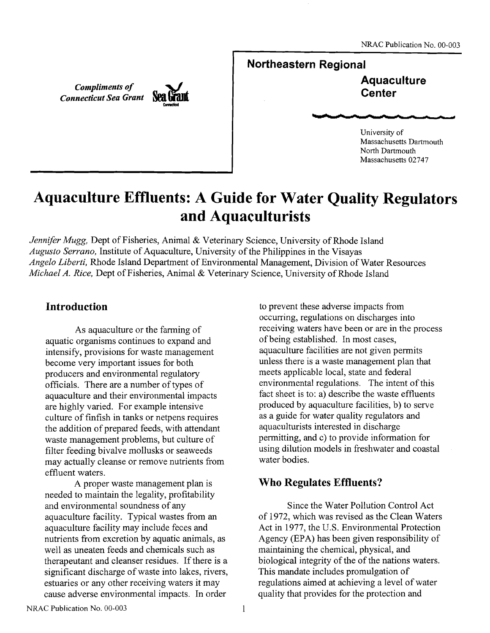*Compliments of Connecticut Sea Grant* 



<sup>1</sup>**Northeastern Regional** 

<sup>I</sup>**Aquaculture Center** 

University of Massachusetts Dartmouth North Dartmouth Massachusetts 02747

# **Aquaculture Effluents: A Guide for Water Quality Regulators and Aquaculturists**

*Jennifer Mugg,* Dept of Fisheries, Animal & Veterinary Science, University of Rhode Island *Augusto Serrano,* Institute of Aquaculture, University of the Philippines in the Visayas *Angelo Liberti,* Rhode Island Department of Environmental Management, Division of Water Resources *Michael A. Rice,* Dept of Fisheries, Animal & Veterinary Science, University of Rhode Island

# **Introduction**

As aquaculture or the farming of aquatic organisms continues to expand and intensify, provisions for waste management become very important issues for both producers and environmental regulatory officials. There are a number of types of aquaculture and their environmental impacts are highly varied. For example intensive culture of finfish in tanks or netpens requires the addition of prepared feeds, with attendant waste management problems, but culture of filter feeding bivalve mollusks or seaweeds may actually cleanse or remove nutrients from effluent waters.

A proper waste management plan is needed to maintain the legality, profitability and environmental soundness of any aquaculture facility. Typical wastes from an aquaculture facility may include feces and nutrients from excretion by aquatic animals, as well as uneaten feeds and chemicals such as therapeutant and cleanser residues. If there is a significant discharge of waste into lakes, rivers, estuaries or any other receiving waters it may cause adverse environmental impacts. In order

to prevent these adverse impacts from occurring, regulations on discharges into receiving waters have been or are in the process of being established. In most cases, aquaculture facilities are not given permits unless there is a waste management plan that meets applicable local, state and federal environmental regulations. The intent of this fact sheet is to: a) describe the waste effluents produced by aquaculture facilities, b) to serve as a guide for water quality regulators and aquaculturists interested in discharge permitting, and c) to provide information for using dilution models in freshwater and coastal water bodies.

# **Who Regulates Effluents?**

Since the Water Pollution Control Act of 1972, which was revised as the Clean Waters Act in 1977, the U.S. Environmental Protection Agency (EPA) has been given responsibility of maintaining the chemical, physical, and biological integrity of the of the nations waters. This mandate includes promulgation of regulations aimed at achieving a level of water quality that provides for the protection and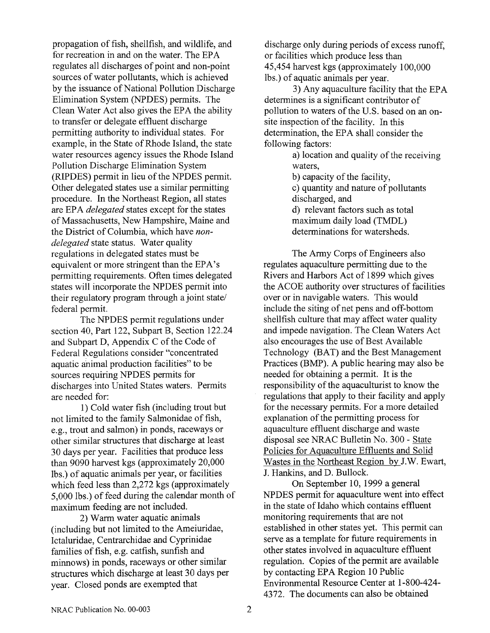propagation of fish, shellfish, and wildlife, and for recreation in and on the water. The EPA regulates all discharges of point and non-point sources of water pollutants, which is achieved by the issuance of National Pollution Discharge Elimination System (NPDES) permits. The Clean Water Act also gives the EPA the ability to transfer or delegate effluent discharge permitting authority to individual states. For example, in the State of Rhode Island, the state water resources agency issues the Rhode Island Pollution Discharge Elimination System (RIPDES) permit in lieu of the NPDES permit. Other delegated states use a similar permitting procedure. In the Northeast Region, all states are EPA *delegated* states except for the states of Massachusetts, New Hampshire, Maine and the District of Columbia, which have *nondelegated* state status. Water quality regulations in delegated states must be equivalent or more stringent than the EPA's permitting requirements. Often times delegated states will incorporate the NPDES permit into their regulatory program through a joint state/ federal permit.

The NPDES permit regulations under section 40, Part 122, Subpart B, Section 122.24 and Subpart D, Appendix C of the Code of Federal Regulations consider "concentrated aquatic animal production facilities" to be sources requiring NPDES permits for discharges into United States waters. Permits are needed for:

1) Cold water fish (including trout but not limited to the family Salmonidae of fish, e.g., trout and salmon) in ponds, raceways or other similar structures that discharge at least 30 days per year. Facilities that produce less than 9090 harvest kgs (approximately 20,000 lbs.) of aquatic animals per year, or facilities which feed less than 2,272 kgs (approximately 5,000 lbs.) of feed during the calendar month of maximum feeding are not included.

2) Warm water aquatic animals (including but not limited to the Ameiuridae, Ictaluridae, Centrarchidae and Cyprinidae families of fish, e.g. catfish, sunfish and minnows) in ponds, raceways or other similar structures which discharge at least 30 days per year. Closed ponds are exempted that

discharge only during periods of excess runoff, or facilities which produce less than 45,454 harvest kgs (approximately 100,000 lbs.) of aquatic animals per year.

3) Any aquaculture facility that the EPA determines is a significant contributor of pollution to waters of the U.S. based on an onsite inspection of the facility. In this determination, the EPA shall consider the following factors:

> a) location and quality of the receiving waters, b) capacity of the facility, c) quantity and nature of pollutants

discharged, and

d) relevant factors such as total maximum daily load (TMDL) determinations for watersheds.

The Army Corps of Engineers also regulates aquaculture permitting due to the Rivers and Harbors Act of 1899 which gives the ACOE authority over structures of facilities over or in navigable waters. This would include the siting of net pens and off-bottom shellfish culture that may affect water quality and impede navigation. The Clean waters Act also encourages the use of Best Available Technology (BAT) and the Best Management Practices (BMF). A public hearing may also be needed for obtaining a permit. It is the responsibility of the aquaculturist to know the regulations that apply to their facility and apply for the necessary permits. For a more detailed explanation of the permitting process for aquaculture effluent discharge and waste disposal see NRAC Bulletin No. 300 - State Policies for Aquaculture Effluents and Solid Wastes in the Northeast Region by J.W. Ewart, J. Hankins, and D. Bullock.

On September 10, 1999 a general NPDES permit for aquaculture went into effect in the state of Idaho which contains effluent monitoring requirements that are not established in other states yet. This permit can serve as a template for future requirements in other states involved in aquaculture effluent regulation. Copies of the pennit are available by contacting EPA Region 10 Public Environmental Resource Center at 1-800-424- 4372. The documents can also be obtained

 $\overline{2}$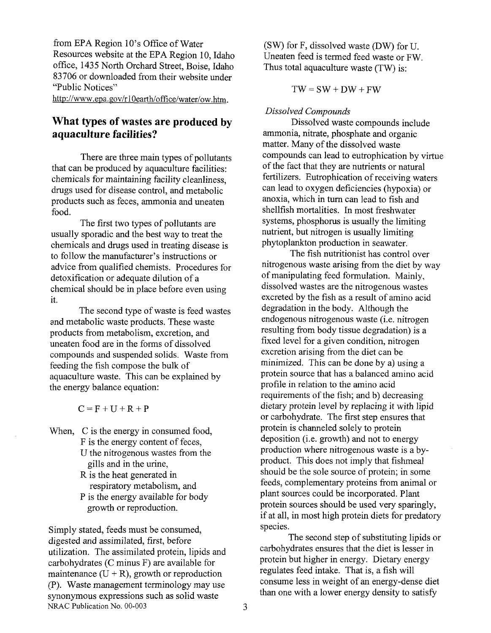fiom EPA Region 10's Office of Water Resources website at the EPA Region 10, Idaho office, 1435 North Orchard Street, Boise, Idaho 83706 or downloaded from their website under "Public Notices"

http://www.epa.gov/r10earth/office/water/ow.htm.

# **What types of wastes are produced by aquaculture facilities?**

There are three main types of pollutants that can be produced by aquaculture facilities: chemicals for maintaining facility cleanliness, drugs used for disease control, and metabolic products such as feces, ammonia and uneaten food.

The first two types of pollutants are usually sporadic and the best way to treat the chemicals and drugs used in treating disease is to follow the manufacturer's instructions or advice from qualified chemists. Procedures for detoxification or adequate dilution of a chemical should be in place before even using it.

The second type of waste is feed wastes and metabolic waste products. These waste products from metabolism, excretion, and uneaten food are in the forms of dissolved compounds and suspended solids. Waste from feeding the fish compose the bulk of aquaculture waste. This can be explained by the energy balance equation:

 $C = F + U + R + P$ 

- When, C is the energy in consumed food, F is the energy content of feces, U the nitrogenous wastes from the gills and in the urine,
	- R is the heat generated in respiratory metabolism, and P is the energy available for body growth or reproduction.

Simply stated, feeds must be consumed, digested and assimilated, first, before utilization. The assimilated protein, lipids and carbohydrates (C minus F) are available for maintenance  $(U + R)$ , growth or reproduction (P). Waste management terminology may use synonymous expressions such as solid waste NRAC Publication No. 00-003

(SW) for F, dissolved waste (DW) for U. Uneaten feed is termed feed waste or FW. Thus total aquaculture waste (TW) is:

 $TW = SW + DW + FW$ 

### *Dissolved Compounds*

Dissolved waste compounds include ammonia, nitrate, phosphate and organic matter. Many of the dissolved waste compounds can lead to eutrophication by virtue of the fact that they are nutrients or natural fertilizers. Eutrophication of receiving waters can lead to oxygen deficiencies (hypoxia) or anoxia, which in turn can lead to fish and shellfish mortalities. In most freshwater systems, phosphorus is usually the limiting nutrient, but nitrogen is usually limiting phytoplankton production in seawater.

The fish nutritionist has control over nitrogenous waste arising from the diet by way of manipulating feed formulation. Mainly, dissolved wastes are the nitrogenous wastes excreted by the fish as a result of amino acid degradation in the body. Although the endogenous nitrogenous waste (i.e. nitrogen resulting from body tissue degradation) is a fixed level for a given condition, nitrogen excretion arising from the diet can be minimized. This can be done by a) using a protein source that has a balanced amino acid profile in relation to the amino acid requirements of the fish; and b) decreasing dietary protein level by replacing it with lipid or carbohydrate. The first step ensures that protein is channeled solely to protein deposition (i.e. growth) and not to energy production where nitrogenous waste is a byproduct. This does not imply that fishmeal should be the sole source of protein; in some feeds, complementary proteins from animal or plant sources could be incorporated. Plant protein sources should be used very sparingly, if at all, in most high protein diets for predatory species.

The second step of substituting lipids or carbohydrates ensures that the diet is lesser in protein but higher in energy. Dietary energy regulates feed intake. That is, a fish will consume less in weight of an energy-dense diet than one with a lower energy density to satisfy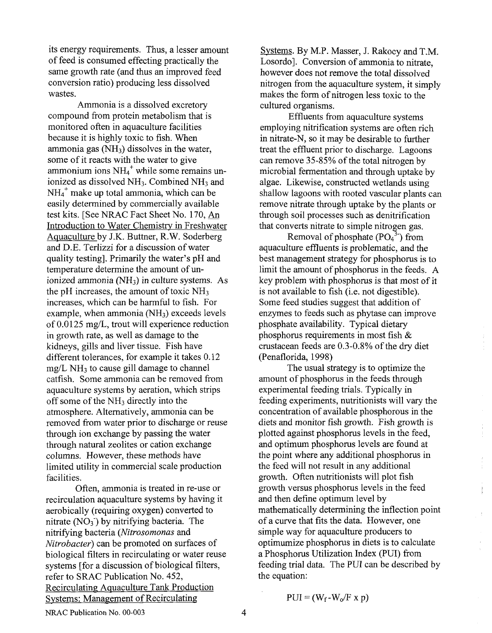its energy requirements. Thus, a lesser amount of feed is consumed effecting practically the same growth rate (and thus an improved feed conversion ratio) producing less dissolved wastes.

Ammonia is a dissolved excretory compound from protein metabolism that is monitored often in aquaculture facilities because it is highly toxic to fish. When ammonia gas  $(NH_3)$  dissolves in the water, some of it reacts with the water to give ammonium ions  $NH<sub>4</sub><sup>+</sup>$  while some remains unionized as dissolved NH<sub>3</sub>. Combined NH<sub>3</sub> and  $NH_4^+$  make up total ammonia, which can be easily determined by commercially available test kits. [See NRAC Fact Sheet No. 170, **An**  Introduction to Water Chemistry in Freshwater Aquaculture by J.K. Buttner, R.W. Soderberg and D.E. Terlizzi for a discussion of water quality testing]. Primarily the water's pH and temperature determine the amount of unionized ammonia **(MI3)** in culture systems. As the pH increases, the amount of toxic  $NH<sub>3</sub>$ increases, which can be harmful to fish. For example, when ammonia  $(NH_3)$  exceeds levels of 0.0125 mg/L, trout will experience reduction in growth rate, as well as damage to the kidneys, gills and liver tissue. Fish have different tolerances, for example it takes 0.12  $mg/L NH<sub>3</sub>$  to cause gill damage to channel catfish. Some ammonia can be removed from aquaculture systems by aeration, which strips off some of the  $NH<sub>3</sub>$  directly into the atmosphere. Alternatively, ammonia can be removed from water prior to discharge or reuse through ion exchange by passing the water through natural zeolites or cation exchange columns. However, these methods have limited utility in commercial scale production facilities.

Often, ammonia is treated in re-use or recirculation aquaculture systems by having it aerobically (requiring oxygen) converted to nitrate  $(NO<sub>3</sub>)$  by nitrifying bacteria. The nitrifying bacteria (Nitrosomonas and Nitrobacter) can be promoted on surfaces of biological filters in recirculating or water reuse systems [for a discussion of biological filters, refer to SRAC Publication No. 452, Recirculating Aauaculture Tank Production Svstems: Management of Recirculating

Systems. By M.P. Masser, J. Rakocy and T.M. Losordo]. Conversion of ammonia to nitrate, however does not remove the total dissolved nitrogen from the aquaculture system, it simply makes the form of nitrogen less toxic to the cultured organisms.

Effluents from aquaculture systems employing nitrification systems are often rich in nitrate-N, so it may be desirable to further treat the effluent prior to discharge. Lagoons can remove 35-85% of the total nitrogen by microbial fermentation and through uptake by algae. Likewise, constructed wetlands using shallow lagoons with rooted vascular plants can remove nitrate through uptake by the plants or through soil processes such as denitrification that converts nitrate to simple nitrogen gas.

Removal of phosphate  $(PO<sub>4</sub><sup>3</sup>)$  from aquaculture effluents is problematic, and the best management strategy for phosphorus is to limit the amount of phosphorus in the feeds. A key problem with phosphorus is that most of it is not available to fish (i.e. not digestible). Some feed studies suggest that addition of enzymes to feeds such as phytase can improve phosphate availability. Typical dietary phosphorus requirements in most fish & crustacean feeds are 0.3-0.8% of the dry diet (Penaflorida, 1998)

The usual strategy is to optimize the amount of phosphorus in the feeds through experimental feeding trials. Typically in feeding experiments, nutritionists will vary the concentration of available phosphorous in the diets and monitor fish growth. Fish growth is plotted against phosphorus levels in the feed, and optimum phosphorus levels are found at the point where any additional phosphorus in the feed will not result in any additional growth. Often nutritionists will plot fish growth versus phosphorus levels in the feed and then define optimum level by mathematically determining the inflection point of a curve that fits the data. However, one simple way for aquaculture producers to optimumize phosphorus in diets is to calculate a Phosphorus Utilization Index (PUI) from feeding trial data. The PUI can be described by the equation:

ţ

$$
PUI = (W_f-W_o/F x p)
$$

NRAC Publication No. 00-003

$$
\boldsymbol{4}
$$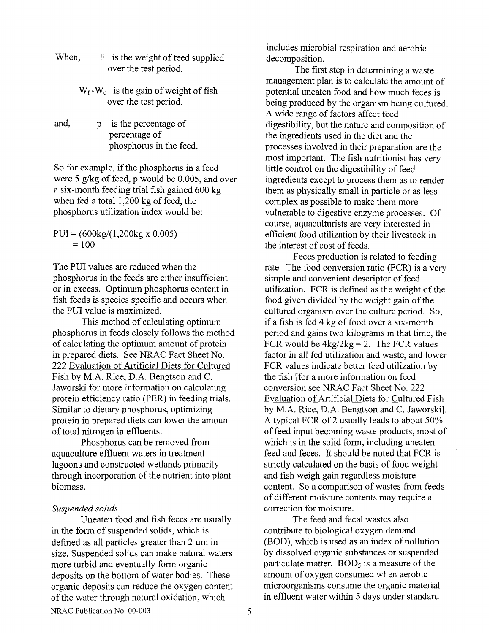- When, F is the weight of feed supplied over the test period,
	- $W_f-W_o$  is the gain of weight of fish over the test period,
- and, p is the percentage of percentage of phosphorus in the feed.

So for example, if the phosphorus in a feed were 5 g/kg of feed, p would be  $0.005$ , and over a six-month feeding trial fish gained 600 kg when fed a total 1,200 kg of feed, the phosphorus utilization index would be:

 $PUI = (600kg/(1,200kg x 0.005))$  $= 100$ 

The PUI values are reduced when the phosphorus in the feeds are either insufficient or in excess. Optimum phosphorus content in fish feeds is species specific and occurs when the PUI value is maximized.

This method of calculating optimum phosphorus in feeds closely follows the method of calculating the optimum amount of protein in prepared diets. See NRAC Fact Sheet No. 222 Evaluation of Artificial Diets for Cultured Fish by M.A. Rice, D.A. Bengtson and C. Jaworski for more information on calculating protein efficiency ratio (PER) in feeding trials. Similar to dietary phosphorus, optimizing protein in prepared diets can lower the amount of total nitrogen in effluents.

Phosphorus can be removed fiom aquaculture effluent waters in treatment lagoons and constructed wetlands primarily through incorporation of the nutrient into plant biomass.

#### *Suspended solids*

Uneaten food and fish feces are usually in the form of suspended solids, which is defined as all particles greater than  $2 \mu m$  in size. Suspended solids can make natural waters more turbid and eventually form organic deposits on the bottom of water bodies. These organic deposits can reduce the oxygen content of the water through natural oxidation, which

includes microbial respiration and aerobic decomposition.

The first step in determining a waste management plan is to calculate the amount of potential uneaten food and how much feces is being produced by the organism being cultured. A wide range of factors affect feed digestibility, but the nature and composition of the ingredients used in the diet and the processes involved in their preparation are the most important. The fish nutritionist has very little control on the digestibility of feed ingredients except to process them as to render them as physically small in particle or as less complex as possible to make them more vulnerable to digestive enzyme processes. Of course, aquaculturists are very interested in efficient food utilization by their livestock in the interest of cost of feeds.

Feces production is related to feeding rate. The food conversion ratio (FCR) is a very simple and convenient descriptor of feed utilization. FCR is defined as the weight of the food given divided by the weight gain of the cultured organism over the culture period. So, if a fish is fed 4 kg of food over a six-month period and gains two kilograms in that time, the FCR would be  $4kg/2kg = 2$ . The FCR values factor in all fed utilization and waste, and lower FCR values indicate better feed utilization by the fish [for a more information on feed conversion see NRAC Fact Sheet No. 222 Evaluation of Artificial Diets for Cultured Fish by M.A. Rice, D.A. Bengtson and C. Jaworski]. A typical FCR of 2 usually leads to about 50% of feed input becoming waste products, most of which is in the solid form, including uneaten feed and feces. It should be noted that FCR is strictly calculated on the basis of food weight and fish weigh gain regardless moisture content. So a comparison of wastes from feeds of different moisture contents may require a correction for moisture.

The feed and fecal wastes also contribute to biological oxygen demand (BOD), which is used as an index of pollution by dissolved organic substances or suspended particulate matter.  $BOD<sub>5</sub>$  is a measure of the amount of oxygen consumed when aerobic microorganisms consume the organic material in effluent water within *5* days under standard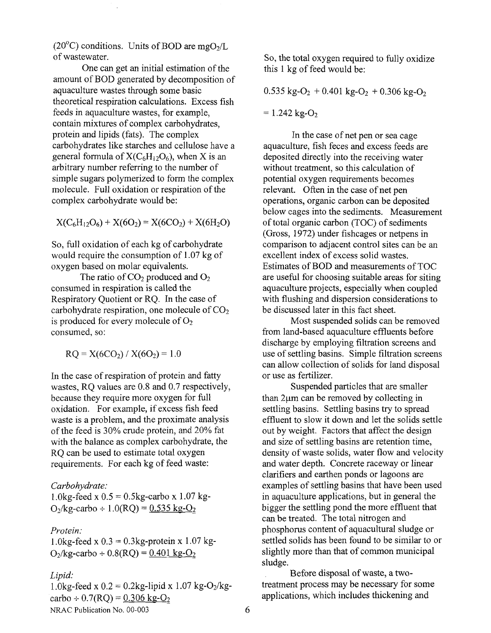(20 $^{\circ}$ C) conditions. Units of BOD are mgO<sub>2</sub>/L of wastewater.

One can get an initial estimation of the amount of BOD generated by decomposition of aquaculture wastes through some basic theoretical respiration calculations. Excess fish feeds in aquaculture wastes, for example, contain mixtures of complex carbohydrates, protein and lipids (fats). The complex carbohydrates like starches and cellulose have a general formula of  $X(C_6H_{12}O_6)$ , when X is an arbitrary number referring to the number of simple sugars polymerized to form the complex molecule. Full oxidation or respiration of the complex carbohydrate would be:

 $X(C_6H_1_2O_6) + X(6O_2) = X(6CO_2) + X(6H_2O)$ 

So, full oxidation of each kg of carbohydrate would require the consumption of 1.07 kg of oxygen based on molar equivalents.

The ratio of  $CO<sub>2</sub>$  produced and  $O<sub>2</sub>$ consumed in respiration is called the Respiratory Quotient or RQ. In the case of carbohydrate respiration, one molecule of  $CO<sub>2</sub>$ is produced for every molecule of  $O_2$ consumed, so:

 $RO = X(6CO<sub>2</sub>) / X(6O<sub>2</sub>) = 1.0$ 

In the case of respiration of protein and fatty wastes, RQ values are 0.8 and 0.7 respectively, because they require more oxygen for full oxidation. For example, if excess fish feed waste is a problem, and the proximate analysis of the feed is 30% crude protein, and 20% fat with the balance as complex carbohydrate, the RQ can be used to estimate total oxygen requirements. For each kg of feed waste:

*Carbohydrate:* 

1.0kg-feed x  $0.5 = 0.5$ kg-carbo x 1.07 kg- $O_2$ /kg-carbo ÷ 1.0(RQ) = 0.535 kg-O<sub>2</sub>

#### *Protein* :

1.0kg-feed x  $0.3 = 0.3$ kg-protein x 1.07 kg- $O_2$ /kg-carbo ÷ 0.8(RO) = 0.401 kg-O<sub>2</sub>

#### *Lipid:*

1.0kg-feed x  $0.2 = 0.2$ kg-lipid x 1.07 kg-O<sub>2</sub>/kgcarbo  $\div$  0.7(RQ) = 0.306 kg-O<sub>2</sub> NRAC Publication No. 00-003

So, the total oxygen required to fully oxidize this 1 kg of feed would be:

 $0.535 \text{ kg-O}_2 + 0.401 \text{ kg-O}_2 + 0.306 \text{ kg-O}_2$ 

 $= 1.242$  kg-O<sub>2</sub>

In the case of net pen or sea cage aquaculture, fish feces and excess feeds are deposited directly into the receiving water without treatment, so this calculation of potential oxygen requirements becomes relevant. Often in the case of net pen operations, organic carbon can be deposited below cages into the sediments. Measurement of total organic carbon (TOC) of sediments (Gross, 1972) under fishcages or netpens in comparison to adjacent control sites can be an excellent index of excess solid wastes. Estimates of BOD and measurements of TOC are useful for choosing suitable areas for siting aquaculture projects, especially when coupled with flushing and dispersion considerations to be discussed later in this fact sheet.

Most suspended solids can be removed from land-based aquaculture effluents before discharge by employing filtration screens and use of settling basins. Simple filtration screens can allow collection of solids for land disposal or use as fertilizer.

Suspended particles that are smaller than  $2\mu$ m can be removed by collecting in settling basins. Settling basins try to spread effluent to slow it down and let the solids settle out by weight. Factors that affect the design and size of settling basins are retention time, density of waste solids, water flow and velocity and water depth. Concrete raceway or linear clarifiers and earthen ponds or lagoons are examples of settling basins that have been used in aquaculture applications, but in general the bigger the settling pond the more effluent that can be treated. The total nitrogen and phosphorus content of aquacultural sludge or settled solids has been found to be similar to or slightly more than that of common municipal sludge.

Before disposal of waste, a twotreatment process may be necessary for some applications, which includes thickening and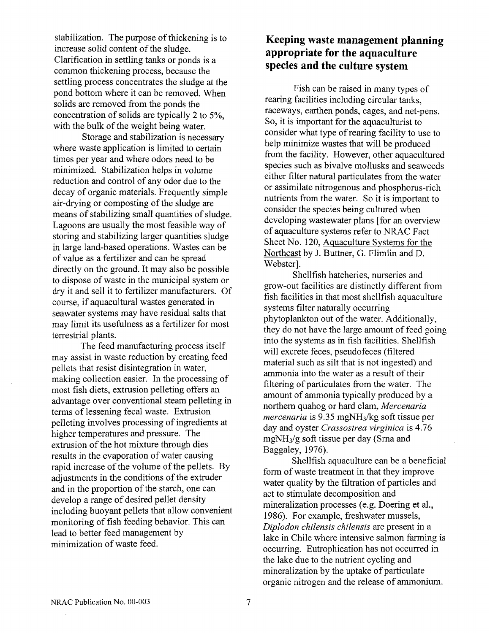stabilization. The purpose of thickening is to increase solid content of the sludge. Clarification in settling tanks or ponds is a common thickening process, because the settling process concentrates the sludge at the pond bottom where it can be removed. When solids are removed from the ponds the concentration of solids are typically 2 to *5%,*  with the bulk of the weight being water.

Storage and stabilization is necessary where waste application is limited to certain times per year and where odors need to be minimized. Stabilization helps in volume reduction and control of any odor due to the decay of organic materials. Frequently simple air-drying or composting of the sludge are means of stabilizing small quantities of sludge. Lagoons are usually the most feasible way of storing and stabilizing larger quantities sludge in large land-based operations. Wastes can be of value as a fertilizer and can be spread directly on the ground. It may also be possible to dispose of waste in the municipal system or dry it and sell it to fertilizer manufacturers. Of course, if aquacultural wastes generated in seawater systems may have residual salts that may limit its usefulness as a fertilizer for most terrestrial plants.

The feed manufacturing process itself may assist in waste reduction by creating feed pellets that resist disintegration in water, making collection easier. In the processing of most fish diets, extrusion pelleting offers an advantage over conventional steam pelleting in terms of lessening fecal waste. Extrusion pelleting involves processing of ingredients at higher temperatures and pressure. The extrusion of the hot mixture through dies results in the evaporation of water causing rapid increase of the volume of the pellets. By adjustments in the conditions of the extruder and in the proportion of the starch, one can develop a range of desired pellet density including buoyant pellets that allow convenient monitoring of fish feeding behavior. This can lead to better feed management by minimization of waste feed.

# **Keeping waste management planning appropriate for the aquaculture species and the culture system**

Fish can be raised in many types of rearing facilities including circular tanks, raceways, earthen ponds, cages, and net-pens. So, it is important for the aquaculturist to consider what type of rearing facility to use to help minimize wastes that will be produced from the facility. However, other aquacultured species such as bivalve mollusks and seaweeds either filter natural particulates from the water or assimilate nitrogenous and phosphorus-rich nutrients from the water. So it is important to consider the species being cultured when developing wastewater plans [for an overview of aquaculture systems refer to NRAC Fact Sheet No. 120, Aquaculture Systems for the Northeast by J. Buttner, G. Flimlin and D. Webster].

Shellfish hatcheries, nurseries and grow-out facilities are distinctly different from fish facilities in that most shellfish aquaculture systems filter naturally occurring phytoplankton out of the water. Additionally, they do not have the large amount of feed going into the systems as in fish facilities. Shellfish will excrete feces, pseudofeces (filtered material such as silt that is not ingested) and ammonia into the water as a result of their filtering of particulates from the water. The amount of ammonia typically produced by a northern quahog or hard clam, *Mercenaria mercenaria* is 9.35 mgNH3/kg soft tissue per day and oyster *Crassostrea virginica* is 4.76 mgNH3/g soft tissue per day (Srna and Baggaley, 1976).

Shellfish aquaculture can be a beneficial form of waste treatment in that they improve water quality by the filtration of particles and act to stimulate decomposition and mineralization processes (e.g. Doering et al., 1986). For example, freshwater mussels, *Diplodon chilensis chilensis* are present in a lake in Chile where intensive salmon farming is occurring. Eutrophication has not occurred in the lake due to the nutrient cycling and mineralization by the uptake of particulate organic nitrogen and the release of ammonium.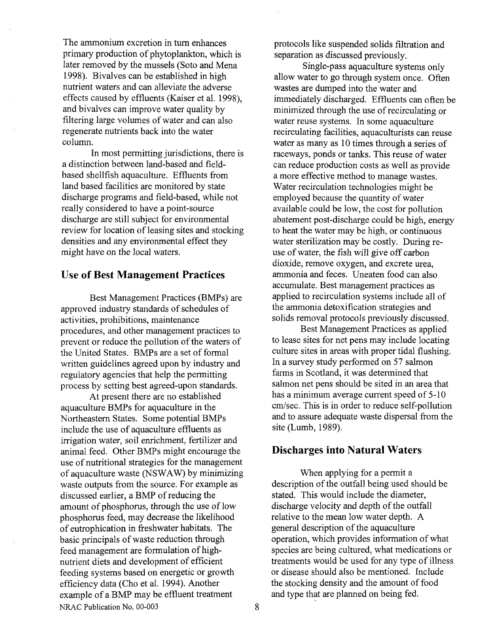The ammonium excretion in turn enhances primary production of phytoplankton, which is later removed by the mussels (Soto and Mena 1998). Bivalves can be established in high nutrient waters and can alleviate the adverse effects caused by effluents (Kaiser et al. 1998), and bivalves can improve water quality by filtering large volumes of water and can also regenerate nutrients back into the water column.

In most permitting jurisdictions, there is a distinction between land-based and fieldbased shellfish aquaculture. Effluents from land based facilities are monitored by state discharge programs and field-based, while not really considered to have a point-source discharge are still subject for environmental review for location of leasing sites and stocking densities and any environmental effect they might have on the local waters.

## **Use of Best Management Practices**

Best Management Practices (BMPs) are approved industry standards of schedules of activities, prohibitions, maintenance procedures, and other management practices to prevent or reduce the pollution of the waters of the United States. BMPs are a set of formal written guidelines agreed upon by industry and regulatory agencies that help the permitting process by setting best agreed-upon standards.

At present there are no established aquaculture BMPs for aquaculture in the Northeastern States. Some potential BMPs include the use of aquaculture effluents as irrigation water, soil enrichment, fertilizer and animal feed. Other BMPs might encourage the use of nutritional strategies for the management of aquaculture waste (NSWAW) by minimizing waste outputs from the source. For example as discussed earlier, a BMP of reducing the amount of phosphorus, through the use of low phosphorus feed, may decrease the likelihood of eutrophication in freshwater habitats. The basic principals of waste reduction through feed management are formulation of highnutrient diets and development of efficient feeding systems based on energetic or growth efficiency data (Cho et al. 1994). Another example of a BMP may be effluent treatment NRAC Publication No. 00-003

protocols like suspended solids filtration and separation as discussed previously.

Single-pass aquaculture systems only allow water to go through system once. Often wastes are dumped into the water and immediately discharged. Effluents can often be minimized through the use of recirculating or water reuse systems. In some aquaculture recirculating facilities, aquaculturists can reuse water as many as 10 times through a series of raceways, ponds or tanks. This reuse of water can reduce production costs as well as provide a more effective method to manage wastes. Water recirculation technologies might be employed because the quantity of water available could be low, the cost for pollution abatement post-discharge could be high, energy to heat the water may be high, or continuous water sterilization may be costly. During reuse of water, the fish will give off carbon dioxide, remove oxygen, and excrete urea, ammonia and feces. Uneaten food can also accumulate. Best management practices as applied to recirculation systems include all of the ammonia detoxification strategies and solids removal protocols previously discussed.

Best Management Practices as applied to lease sites for net pens may include locating culture sites in areas with proper tidal flushing. In a survey study performed on *57* salmon farms in Scotland, it was determined that salmon net pens should be sited in an area that has a minimum average current speed of 5-10 cm/sec. This is in order to reduce self-pollution and to assure adequate waste dispersal from the site (Lumb, 1989).

### **Discharges into Natural Waters**

When applying for a permit a description of the outfall being used should be stated. This would include the diameter, discharge velocity and depth of the outfall relative to the mean low water depth. A general description of the aquaculture operation, which provides information of what species are being cultured, what medications or treatments would be used for any type of illness or disease should also be mentioned. Include the stocking density and the amount of food and type that are planned on being fed.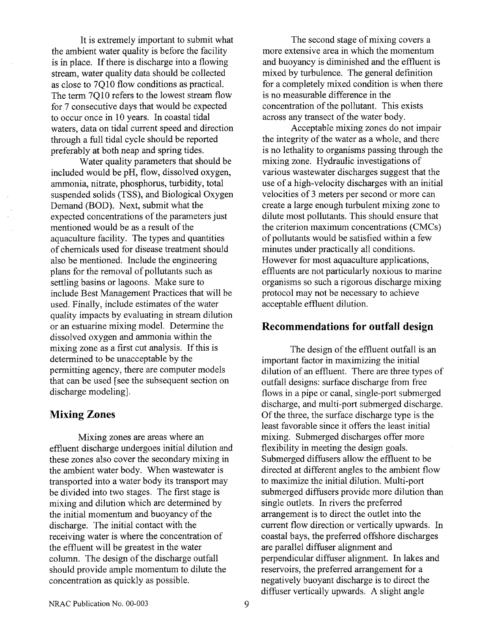It is extremely important to submit what the ambient water quality is before the facility is in place. If there is discharge into a flowing stream, water quality data should be collected as close to 7010 flow conditions as practical. The term 7Q10 refers to the lowest stream flow for 7 consecutive days that would be expected to occur once in 10 years. In coastal tidal waters, data on tidal current speed and direction through a full tidal cycle should be reported preferably at both neap and spring tides.

Water quality parameters that should be included would be pH, flow, dissolved oxygen, ammonia, nitrate, phosphorus, turbidity, total suspended solids (TSS), and Biological Oxygen Demand (BOD). Next, submit what the expected concentrations of the parameters just mentioned would be as a result of the aquaculture facility. The types and quantities of chemicals used for disease treatment should also be mentioned. Include the engineering plans for the removal of pollutants such as settling basins or lagoons. Make sure to include Best Management Practices that will be used. Finally, include estimates of the water quality impacts by evaluating in stream dilution or an estuarine mixing model. Determine the dissolved oxygen and ammonia within the mixing zone as a first cut analysis. If this is determined to be unacceptable by the permitting agency, there are computer models that can be used [see the subsequent section on discharge modeling].

## **Mixing Zones**

Mixing zones are areas where an effluent discharge undergoes initial dilution and these zones also cover the secondary mixing in the ambient water body. When wastewater is transported into a water body its transport may be divided into two stages. The first stage is mixing and dilution which are determined by the initial momentum and buoyancy of the discharge. The initial contact with the receiving water is where the concentration of the effluent will be greatest in the water column. The design of the discharge outfall should provide ample momentum to dilute the concentration as quickly as possible.

The second stage of mixing covers a more extensive area in which the momentum and buoyancy is diminished and the effluent is mixed by turbulence. The general definition for a completely mixed condition is when there is no measurable difference in the concentration of the pollutant. This exists across any transect of the water body.

Acceptable mixing zones do not impair the integrity of the water as a whole, and there is no lethality to organisms passing through the mixing zone. Hydraulic investigations of various wastewater discharges suggest that the use of a high-velocity discharges with an initial velocities of 3 meters per second or more can create a large enough turbulent mixing zone to dilute most pollutants. This should ensure that the criterion maximum concentrations (CMCs) of pollutants would be satisfied within a few minutes under practically all conditions. However for most aquaculture applications, effluents are not particularly noxious to marine organisms so such a rigorous discharge mixing protocol may not be necessary to achieve acceptable effluent dilution.

## **Recommendations for outfall design**

The design of the effluent outfall is an important factor in maximizing the initial dilution of an effluent. There are three types of outfall designs: surface discharge from free flows in a pipe or canal, single-port submerged discharge, and multi-port submerged discharge. Of the three, the surface discharge type is the least favorable since it offers the least initial mixing. Submerged discharges offer more flexibility in meeting the design goals. Submerged diffusers allow the effluent to be directed at different angles to the ambient flow to maximize the initial dilution. Multi-port submerged diffusers provide more dilution than single outlets. In rivers the preferred arrangement is to direct the outlet into the current flow direction or vertically upwards. In coastal bays, the preferred offshore discharges are parallel diffuser alignment and perpendicular diffuser alignment. In lakes and reservoirs, the preferred arrangement for a negatively buoyant discharge is to direct the diffuser vertically upwards. A slight angle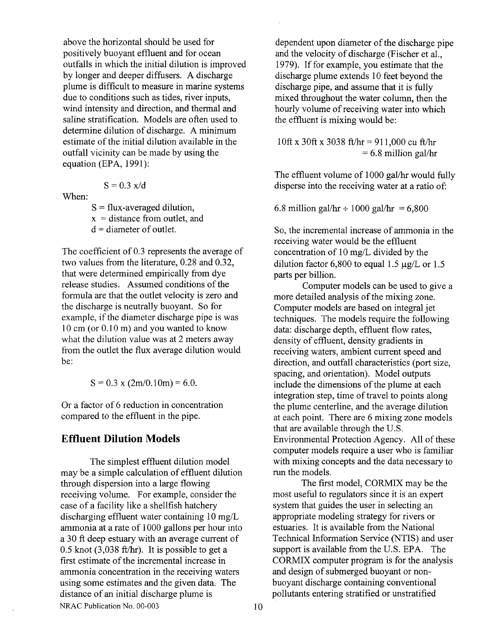above the horizontal should be used for positively buoyant effluent and for ocean outfalls in which the initial dilution is improved by longer and deeper diffusers. A discharge plume is difficult to measure in marine systems due to conditions such as tides, river inputs, wind intensity and direction, and thermal and saline stratification. Models are often used to determine dilution of discharge. A minimum estimate of the initial dilution available in the outfall vicinity can be made by using the equation (EPA, 1991):

$$
S = 0.3 \text{ x/d}
$$

When:

 $S = flux$ -averaged dilution,  $x =$  distance from outlet, and  $d =$  diameter of outlet.

The coefficient of 0.3 represents the average of two values from the literature, 0.28 and 0.32, that were determined empirically from dye release studies. Assumed conditions of the formula are that the outlet velocity is zero and the discharge is neutrally buoyant. So for example, if the diameter discharge pipe is was 10 cm (or 0.10 m) and you wanted to know what the dilution value was at 2 meters away from the outlet the flux average dilution would be:

 $S = 0.3$  x  $(2m/0.10m) = 6.0$ .

Or a factor of 6 reduction in concentration compared to the effluent in the pipe.

## **Effluent Dilution Models**

The simplest effluent dilution model may be a simple calculation of effluent dilution through dispersion into a large flowing receiving volume. For example, consider the case of a facility like a shellfish hatchery discharging effluent water containing 10 mg/L ammonia at a rate of 1000 gallons per hour into a 30 ft deep estuary with an average current of 0.5 knot  $(3,038 \text{ ft/hr})$ . It is possible to get a first estimate of the incremental increase in ammonia concentration in the receiving waters using some estimates and the given data. The distance of an initial discharge plume is NRAC Publication No. 00-003

dependent upon diameter of the discharge pipe and the velocity of discharge (Fischer et al., 1979). If for example, you estimate that the discharge plume extends 10 feet beyond the discharge pipe, and assume that it is fully mixed throughout the water column, then the hourly volume of receiving water into which the effluent is mixing would be:

10ft x 30ft x 3038 ft/hr = 911,000 cu ft/hr  $= 6.8$  million gal/hr

The effluent volume of 1000 gal/hr would fully disperse into the receiving water at a ratio of

6.8 million gal/hr  $\div 1000$  gal/hr = 6,800

So, the incremental increase of ammonia in the receiving water would be the effluent concentration of 10 mg/L divided by the dilution factor 6,800 to equal 1.5  $\mu$ g/L or 1.5 parts per billion.

Computer models can be used to give a more detailed analysis of the mixing zone. Computer models are based on integral jet techniques. The models require the following data: discharge depth, effluent flow rates, density of effluent, density gradients in receiving waters, ambient current speed and direction, and outfall characteristics (port size, spacing, and orientation). Model outputs include the dimensions of the plume at each integration step, time of travel to points along the plume centerline, and the average dilution at each point. There are 6 mixing zone models that are available through the U.S. Environmental Protection Agency. All of these computer models require a user who is familiar with mixing concepts and the data necessary to run the models.

The first model, CORMIX may be the most useful to regulators since it is an expert system that guides the user in selecting an appropriate modeling strategy for rivers or estuaries. It is available from the National Technical Information Service (NTIS) and user support is available from the U.S. EPA. The CORMIX computer program is for the analysis and design of submerged buoyant or nonbuoyant discharge containing conventional pollutants entering stratified or unstratified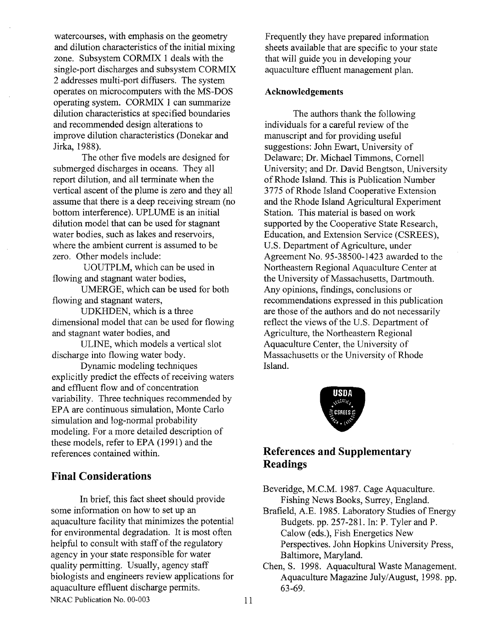watercourses, with emphasis on the geometry and dilution characteristics of the initial mixing zone. Subsystem CORMIX 1 deals with the single-port discharges and subsystem CORMIX 2 addresses multi-port diffusers. The system operates on microcomputers with the MS-DOS operating system. CORMIX 1 can summarize dilution characteristics at specified boundaries and recommended design alterations to improve dilution characteristics (Donekar and Jirka, 1988).

The other five models are designed for submerged discharges in oceans. They all report dilution, and all terminate when the vertical ascent of the plume is zero and they all assume that there is a deep receiving stream (no bottom interference). UPLUME is an initial dilution model that can be used for stagnant water bodies, such as lakes and reservoirs, where the ambient current is assumed to be zero. Other models include:

UOUTPLM, which can be used in flowing and stagnant water bodies,

UMERGE, which can be used for both flowing and stagnant waters,

UDKHDEN, which is a three dimensional model that can be used for flowing and stagnant water bodies, and

ULINE, which models a vertical slot discharge into flowing water body.

Dynamic modeling techniques explicitly predict the effects of receiving waters and effluent flow and of concentration variability. Three techniques recommended by EPA are continuous simulation, Monte Carlo simulation and log-normal probability modeling. For a more detailed description of these models, refer to EPA (1991) and the references contained within.

## **Final Considerations**

In brief, this fact sheet should provide some information on how to set up an aquaculture facility that minimizes the potential for environmental degradation. It is most often helpful to consult with staff of the regulatory agency in your state responsible for water quality permitting. Usually, agency staff biologists and engineers review applications for aquaculture effluent discharge permits. NRAC Publication No. 00-003

Frequently they have prepared information sheets available that are specific to your state that will guide you in developing your aquaculture effluent management plan.

## **Acknowledgements**

The authors thank the following individuals for a careful review of the manuscript and for providing useful suggestions: John Ewart, University of Delaware; Dr. Michael Timmons, Cornell University; and Dr. David Bengtson, University of Rhode Island. This is Publication Number 3775 of Rhode Island Cooperative Extension and the Rhode Island Agricultural Experiment Station. This material is based on work supported by the Cooperative State Research, Education, and Extension Service (CSREES), U.S. Department of Agriculture, under Agreement No. 95-38500- 1423 awarded to the Northeastern Regional Aquaculture Center at the University of Massachusetts, Dartmouth. Any opinions, findings, conclusions or recommendations expressed in this publication are those of the authors and do not necessarily reflect the views of the U.S. Department of Agriculture, the Northeastern Regional Aquaculture Center, the University of Massachusetts or the University of Rhode Island.



# **References and Supplementary Readings**

Beveridge, M.C.M. 1987. Cage Aquaculture. Fishing News Books, Surrey, England.

Brafield, A.E. 1985. Laboratory Studies of Energy Budgets. pp. 257-281. In: P. Tyler and P. Calow (eds.), Fish Energetics New Perspectives. John Hopkins University Press, Baltimore, Maryland.

Chen, S. 1998. Aquacultural Waste Management. Aquaculture Magazine July/August, 1998. pp. 63-69.